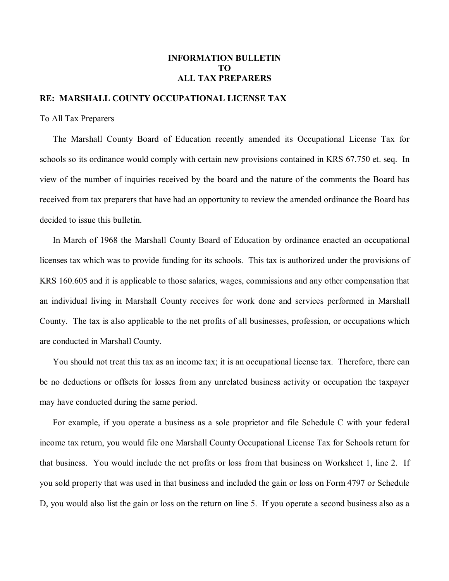## **INFORMATION BULLETIN TO ALL TAX PREPARERS**

## **RE: MARSHALL COUNTY OCCUPATIONAL LICENSE TAX**

To All Tax Preparers

The Marshall County Board of Education recently amended its Occupational License Tax for schools so its ordinance would comply with certain new provisions contained in KRS 67.750 et. seq. In view of the number of inquiries received by the board and the nature of the comments the Board has received from tax preparers that have had an opportunity to review the amended ordinance the Board has decided to issue this bulletin.

In March of 1968 the Marshall County Board of Education by ordinance enacted an occupational licenses tax which was to provide funding for its schools. This tax is authorized under the provisions of KRS 160.605 and it is applicable to those salaries, wages, commissions and any other compensation that an individual living in Marshall County receives for work done and services performed in Marshall County. The tax is also applicable to the net profits of all businesses, profession, or occupations which are conducted in Marshall County.

You should not treat this tax as an income tax; it is an occupational license tax. Therefore, there can be no deductions or offsets for losses from any unrelated business activity or occupation the taxpayer may have conducted during the same period.

For example, if you operate a business as a sole proprietor and file Schedule C with your federal income tax return, you would file one Marshall County Occupational License Tax for Schools return for that business. You would include the net profits or loss from that business on Worksheet 1, line 2. If you sold property that was used in that business and included the gain or loss on Form 4797 or Schedule D, you would also list the gain or loss on the return on line 5. If you operate a second business also as a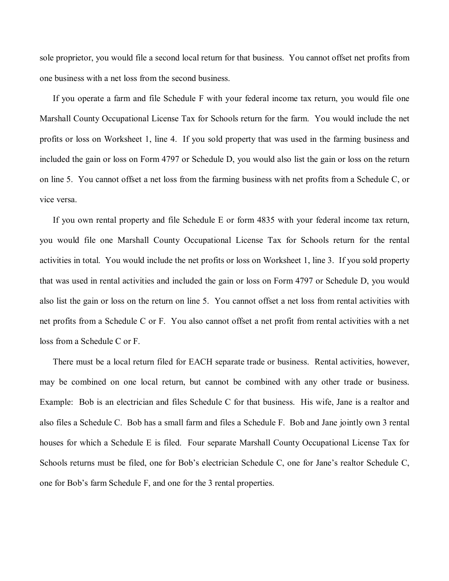sole proprietor, you would file a second local return for that business. You cannot offset net profits from one business with a net loss from the second business.

If you operate a farm and file Schedule F with your federal income tax return, you would file one Marshall County Occupational License Tax for Schools return for the farm. You would include the net profits or loss on Worksheet 1, line 4. If you sold property that was used in the farming business and included the gain or loss on Form 4797 or Schedule D, you would also list the gain or loss on the return on line 5. You cannot offset a net loss from the farming business with net profits from a Schedule C, or vice versa.

If you own rental property and file Schedule E or form 4835 with your federal income tax return, you would file one Marshall County Occupational License Tax for Schools return for the rental activities in total. You would include the net profits or loss on Worksheet 1, line 3. If you sold property that was used in rental activities and included the gain or loss on Form 4797 or Schedule D, you would also list the gain or loss on the return on line 5. You cannot offset a net loss from rental activities with net profits from a Schedule C or F. You also cannot offset a net profit from rental activities with a net loss from a Schedule C or F.

There must be a local return filed for EACH separate trade or business. Rental activities, however, may be combined on one local return, but cannot be combined with any other trade or business. Example: Bob is an electrician and files Schedule C for that business. His wife, Jane is a realtor and also files a Schedule C. Bob has a small farm and files a Schedule F. Bob and Jane jointly own 3 rental houses for which a Schedule E is filed. Four separate Marshall County Occupational License Tax for Schools returns must be filed, one for Bob's electrician Schedule C, one for Jane's realtor Schedule C, one for Bob's farm Schedule F, and one for the 3 rental properties.